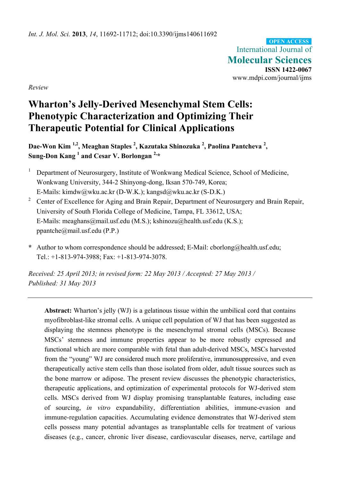International Journal of **Molecular Sciences ISSN 1422-0067**  www.mdpi.com/journal/ijms **OPEN ACCESS**

*Review* 

# **Wharton's Jelly-Derived Mesenchymal Stem Cells: Phenotypic Characterization and Optimizing Their Therapeutic Potential for Clinical Applications**

**Dae-Won Kim 1,2, Meaghan Staples 2 , Kazutaka Shinozuka <sup>2</sup> , Paolina Pantcheva 2 , Sung-Don Kang <sup>1</sup> and Cesar V. Borlongan 2,\*** 

- 1 Department of Neurosurgery, Institute of Wonkwang Medical Science, School of Medicine, Wonkwang University, 344-2 Shinyong-dong, Iksan 570-749, Korea; E-Mails: kimdw@wku.ac.kr (D-W.K.); kangsd@wku.ac.kr (S-D.K.)
- <sup>2</sup> Center of Excellence for Aging and Brain Repair, Department of Neurosurgery and Brain Repair, University of South Florida College of Medicine, Tampa, FL 33612, USA; E-Mails: meaghans@mail.usf.edu (M.S.); kshinozu@health.usf.edu (K.S.); ppantche@mail.usf.edu (P.P.)
- **\*** Author to whom correspondence should be addressed; E-Mail: cborlong@health.usf.edu; Tel.: +1-813-974-3988; Fax: +1-813-974-3078.

*Received: 25 April 2013; in revised form: 22 May 2013 / Accepted: 27 May 2013 / Published: 31 May 2013* 

**Abstract:** Wharton's jelly (WJ) is a gelatinous tissue within the umbilical cord that contains myofibroblast-like stromal cells. A unique cell population of WJ that has been suggested as displaying the stemness phenotype is the mesenchymal stromal cells (MSCs). Because MSCs' stemness and immune properties appear to be more robustly expressed and functional which are more comparable with fetal than adult-derived MSCs, MSCs harvested from the "young" WJ are considered much more proliferative, immunosuppressive, and even therapeutically active stem cells than those isolated from older, adult tissue sources such as the bone marrow or adipose. The present review discusses the phenotypic characteristics, therapeutic applications, and optimization of experimental protocols for WJ-derived stem cells. MSCs derived from WJ display promising transplantable features, including ease of sourcing, *in vitro* expandability, differentiation abilities, immune-evasion and immune-regulation capacities. Accumulating evidence demonstrates that WJ-derived stem cells possess many potential advantages as transplantable cells for treatment of various diseases (e.g., cancer, chronic liver disease, cardiovascular diseases, nerve, cartilage and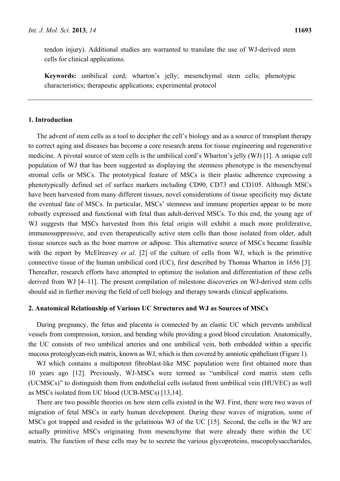tendon injury). Additional studies are warranted to translate the use of WJ-derived stem cells for clinical applications.

**Keywords:** umbilical cord; wharton's jelly; mesenchymal stem cells; phenotypic characteristics; therapeutic applications; experimental protocol

#### **1. Introduction**

The advent of stem cells as a tool to decipher the cell's biology and as a source of transplant therapy to correct aging and diseases has become a core research arena for tissue engineering and regenerative medicine. A pivotal source of stem cells is the umbilical cord's Wharton's jelly (WJ) [1]. A unique cell population of WJ that has been suggested as displaying the stemness phenotype is the mesenchymal stromal cells or MSCs. The prototypical feature of MSCs is their plastic adherence expressing a phenotypically defined set of surface markers including CD90, CD73 and CD105. Although MSCs have been harvested from many different tissues, novel considerations of tissue specificity may dictate the eventual fate of MSCs. In particular, MSCs' stemness and immune properties appear to be more robustly expressed and functional with fetal than adult-derived MSCs. To this end, the young age of WJ suggests that MSCs harvested from this fetal origin will exhibit a much more proliferative, immunosuppressive, and even therapeutically active stem cells than those isolated from older, adult tissue sources such as the bone marrow or adipose. This alternative source of MSCs became feasible with the report by McElreavey *et al*. [2] of the culture of cells from WJ, which is the primitive connective tissue of the human umbilical cord (UC), first described by Thomas Wharton in 1656 [3]. Thereafter, research efforts have attempted to optimize the isolation and differentiation of these cells derived from WJ [4–11]. The present compilation of milestone discoveries on WJ-derived stem cells should aid in further moving the field of cell biology and therapy towards clinical applications.

#### **2. Anatomical Relationship of Various UC Structures and WJ as Sources of MSCs**

During pregnancy, the fetus and placenta is connected by an elastic UC which prevents umbilical vessels from compression, torsion, and bending while providing a good blood circulation. Anatomically, the UC consists of two umbilical arteries and one umbilical vein, both embedded within a specific mucous proteoglycan-rich matrix, known as WJ, which is then covered by amniotic epithelium (Figure 1).

WJ which contains a multipotent fibroblast-like MSC population were first obtained more than 10 years ago [12]. Previously, WJ-MSCs were termed as "umbilical cord matrix stem cells (UCMSCs)" to distinguish them from endothelial cells isolated from umbilical vein (HUVEC) as well as MSCs isolated from UC blood (UCB-MSCs) [13,14].

There are two possible theories on how stem cells existed in the WJ. First, there were two waves of migration of fetal MSCs in early human development. During these waves of migration, some of MSCs got trapped and resided in the gelatinous WJ of the UC [15]. Second, the cells in the WJ are actually primitive MSCs originating from mesenchyme that were already there within the UC matrix. The function of these cells may be to secrete the various glycoproteins, mucopolysaccharides,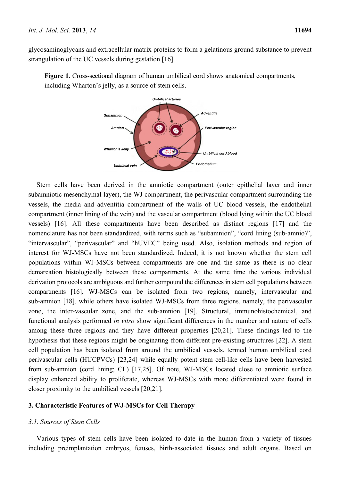glycosaminoglycans and extracellular matrix proteins to form a gelatinous ground substance to prevent strangulation of the UC vessels during gestation [16].

**Figure 1.** Cross-sectional diagram of human umbilical cord shows anatomical compartments, including Wharton's jelly, as a source of stem cells.



Stem cells have been derived in the amniotic compartment (outer epithelial layer and inner subamniotic mesenchymal layer), the WJ compartment, the perivascular compartment surrounding the vessels, the media and adventitia compartment of the walls of UC blood vessels, the endothelial compartment (inner lining of the vein) and the vascular compartment (blood lying within the UC blood vessels) [16]. All these compartments have been described as distinct regions [17] and the nomenclature has not been standardized, with terms such as "subamnion", "cord lining (sub-amnio)", "intervascular", "perivascular" and "hUVEC" being used. Also, isolation methods and region of interest for WJ-MSCs have not been standardized. Indeed, it is not known whether the stem cell populations within WJ-MSCs between compartments are one and the same as there is no clear demarcation histologically between these compartments. At the same time the various individual derivation protocols are ambiguous and further compound the differences in stem cell populations between compartments [16]. WJ-MSCs can be isolated from two regions, namely, intervascular and sub-amnion [18], while others have isolated WJ-MSCs from three regions, namely, the perivascular zone, the inter-vascular zone, and the sub-amnion [19]. Structural, immunohistochemical, and functional analysis performed *in vitro* show significant differences in the number and nature of cells among these three regions and they have different properties [20,21]. These findings led to the hypothesis that these regions might be originating from different pre-existing structures [22]. A stem cell population has been isolated from around the umbilical vessels, termed human umbilical cord perivascular cells (HUCPVCs) [23,24] while equally potent stem cell-like cells have been harvested from sub-amnion (cord lining; CL) [17,25]. Of note, WJ-MSCs located close to amniotic surface display enhanced ability to proliferate, whereas WJ-MSCs with more differentiated were found in closer proximity to the umbilical vessels [20,21].

#### **3. Characteristic Features of WJ-MSCs for Cell Therapy**

#### *3.1. Sources of Stem Cells*

Various types of stem cells have been isolated to date in the human from a variety of tissues including preimplantation embryos, fetuses, birth-associated tissues and adult organs. Based on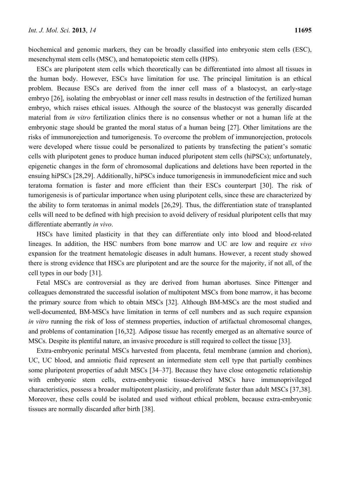biochemical and genomic markers, they can be broadly classified into embryonic stem cells (ESC), mesenchymal stem cells (MSC), and hematopoietic stem cells (HPS).

ESCs are pluripotent stem cells which theoretically can be differentiated into almost all tissues in the human body. However, ESCs have limitation for use. The principal limitation is an ethical problem. Because ESCs are derived from the inner cell mass of a blastocyst, an early-stage embryo [26], isolating the embryoblast or inner cell mass results in destruction of the fertilized human embryo, which raises ethical issues. Although the source of the blastocyst was generally discarded material from *in vitro* fertilization clinics there is no consensus whether or not a human life at the embryonic stage should be granted the moral status of a human being [27]. Other limitations are the risks of immunorejection and tumorigenesis. To overcome the problem of immunorejection, protocols were developed where tissue could be personalized to patients by transfecting the patient's somatic cells with pluripotent genes to produce human induced pluripotent stem cells (hiPSCs); unfortunately, epigenetic changes in the form of chromosomal duplications and deletions have been reported in the ensuing hiPSCs [28,29]. Additionally, hiPSCs induce tumorigenesis in immunodeficient mice and such teratoma formation is faster and more efficient than their ESCs counterpart [30]. The risk of tumorigenesis is of particular importance when using pluripotent cells, since these are characterized by the ability to form teratomas in animal models [26,29]. Thus, the differentiation state of transplanted cells will need to be defined with high precision to avoid delivery of residual pluripotent cells that may differentiate aberrantly *in vivo*.

HSCs have limited plasticity in that they can differentiate only into blood and blood-related lineages. In addition, the HSC numbers from bone marrow and UC are low and require *ex vivo* expansion for the treatment hematologic diseases in adult humans. However, a recent study showed there is strong evidence that HSCs are pluripotent and are the source for the majority, if not all, of the cell types in our body [31].

Fetal MSCs are controversial as they are derived from human abortuses. Since Pittenger and colleagues demonstrated the successful isolation of multipotent MSCs from bone marrow, it has become the primary source from which to obtain MSCs [32]. Although BM-MSCs are the most studied and well-documented, BM-MSCs have limitation in terms of cell numbers and as such require expansion *in vitro* running the risk of loss of stemness properties, induction of artifactual chromosomal changes, and problems of contamination [16,32]. Adipose tissue has recently emerged as an alternative source of MSCs. Despite its plentiful nature, an invasive procedure is still required to collect the tissue [33].

Extra-embryonic perinatal MSCs harvested from placenta, fetal membrane (amnion and chorion), UC, UC blood, and amniotic fluid represent an intermediate stem cell type that partially combines some pluripotent properties of adult MSCs [34–37]. Because they have close ontogenetic relationship with embryonic stem cells, extra-embryonic tissue-derived MSCs have immunoprivileged characteristics, possess a broader multipotent plasticity, and proliferate faster than adult MSCs [37,38]. Moreover, these cells could be isolated and used without ethical problem, because extra-embryonic tissues are normally discarded after birth [38].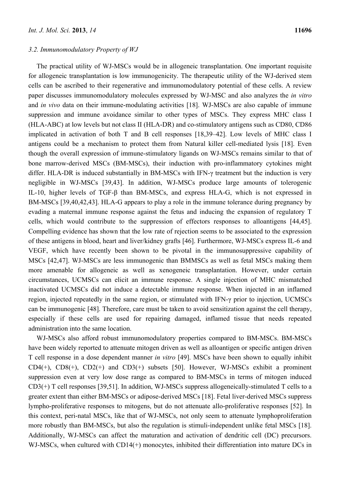#### *3.2. Immunomodulatory Property of WJ*

The practical utility of WJ-MSCs would be in allogeneic transplantation. One important requisite for allogeneic transplantation is low immunogenicity. The therapeutic utility of the WJ-derived stem cells can be ascribed to their regenerative and immunomodulatory potential of these cells. A review paper discusses immunomodulatory molecules expressed by WJ-MSC and also analyzes the *in vitro* and *in vivo* data on their immune-modulating activities [18]. WJ-MSCs are also capable of immune suppression and immune avoidance similar to other types of MSCs. They express MHC class I (HLA-ABC) at low levels but not class II (HLA-DR) and co-stimulatory antigens such as CD80, CD86 implicated in activation of both T and B cell responses [18,39–42]. Low levels of MHC class I antigens could be a mechanism to protect them from Natural killer cell-mediated lysis [18]. Even though the overall expression of immune-stimulatory ligands on WJ-MSCs remains similar to that of bone marrow-derived MSCs (BM-MSCs), their induction with pro-inflammatory cytokines might differ. HLA-DR is induced substantially in BM-MSCs with IFN-γ treatment but the induction is very negligible in WJ-MSCs [39,43]. In addition, WJ-MSCs produce large amounts of tolerogenic IL-10, higher levels of TGF-β than BM-MSCs, and express HLA-G, which is not expressed in BM-MSCs [39,40,42,43]. HLA-G appears to play a role in the immune tolerance during pregnancy by evading a maternal immune response against the fetus and inducing the expansion of regulatory T cells, which would contribute to the suppression of effectors responses to alloantigens [44,45]. Compelling evidence has shown that the low rate of rejection seems to be associated to the expression of these antigens in blood, heart and liver/kidney grafts [46]. Furthermore, WJ-MSCs express IL-6 and VEGF, which have recently been shown to be pivotal in the immunosuppressive capability of MSCs [42,47]. WJ-MSCs are less immunogenic than BMMSCs as well as fetal MSCs making them more amenable for allogeneic as well as xenogeneic transplantation. However, under certain circumstances, UCMSCs can elicit an immune response. A single injection of MHC mismatched inactivated UCMSCs did not induce a detectable immune response. When injected in an inflamed region, injected repeatedly in the same region, or stimulated with IFN-γ prior to injection, UCMSCs can be immunogenic [48]. Therefore, care must be taken to avoid sensitization against the cell therapy, especially if these cells are used for repairing damaged, inflamed tissue that needs repeated administration into the same location.

WJ-MSCs also afford robust immunomodulatory properties compared to BM-MSCs. BM-MSCs have been widely reported to attenuate mitogen driven as well as alloantigen or specific antigen driven T cell response in a dose dependent manner *in vitro* [49]. MSCs have been shown to equally inhibit  $CD4(+)$ ,  $CD8(+)$ ,  $CD2(+)$  and  $CD3(+)$  subsets [50]. However, WJ-MSCs exhibit a prominent suppression even at very low dose range as compared to BM-MSCs in terms of mitogen induced CD3(+) T cell responses [39,51]. In addition, WJ-MSCs suppress allogeneically-stimulated T cells to a greater extent than either BM-MSCs or adipose-derived MSCs [18]. Fetal liver-derived MSCs suppress lympho-proliferative responses to mitogens, but do not attenuate allo-proliferative responses [52]. In this context, peri-natal MSCs, like that of WJ-MSCs, not only seem to attenuate lymphoproliferation more robustly than BM-MSCs, but also the regulation is stimuli-independent unlike fetal MSCs [18]. Additionally, WJ-MSCs can affect the maturation and activation of dendritic cell (DC) precursors. WJ-MSCs, when cultured with CD14(+) monocytes, inhibited their differentiation into mature DCs in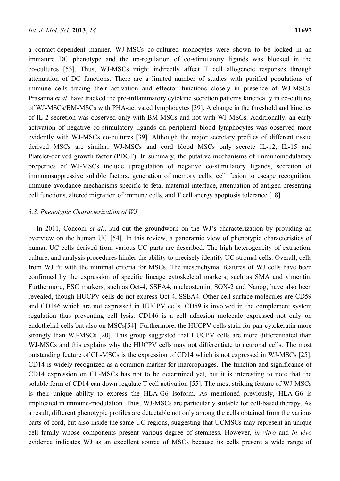a contact-dependent manner. WJ-MSCs co-cultured monocytes were shown to be locked in an immature DC phenotype and the up-regulation of co-stimulatory ligands was blocked in the co-cultures [53]. Thus, WJ-MSCs might indirectly affect T cell allogeneic responses through attenuation of DC functions. There are a limited number of studies with purified populations of immune cells tracing their activation and effector functions closely in presence of WJ-MSCs. Prasanna *et al*. have tracked the pro-inflammatory cytokine secretion patterns kinetically in co-cultures of WJ-MSCs/BM-MSCs with PHA-activated lymphocytes [39]. A change in the threshold and kinetics of IL-2 secretion was observed only with BM-MSCs and not with WJ-MSCs. Additionally, an early activation of negative co-stimulatory ligands on peripheral blood lymphocytes was observed more evidently with WJ-MSCs co-cultures [39]. Although the major secretary profiles of different tissue derived MSCs are similar, WJ-MSCs and cord blood MSCs only secrete IL-12, IL-15 and Platelet-derived growth factor (PDGF). In summary, the putative mechanisms of immunomodulatory properties of WJ-MSCs include upregulation of negative co-stimulatory ligands, secretion of immunosuppressive soluble factors, generation of memory cells, cell fusion to escape recognition, immune avoidance mechanisms specific to fetal-maternal interface, attenuation of antigen-presenting cell functions, altered migration of immune cells, and T cell anergy apoptosis tolerance [18].

# *3.3. Phenotypic Characterization of WJ*

In 2011, Conconi *et al.*, laid out the groundwork on the WJ's characterization by providing an overview on the human UC [54]. In this review, a panoramic view of phenotypic characteristics of human UC cells derived from various UC parts are described. The high heterogeneity of extraction, culture, and analysis procedures hinder the ability to precisely identify UC stromal cells. Overall, cells from WJ fit with the minimal criteria for MSCs. The mesenchymal features of WJ cells have been confirmed by the expression of specific lineage cytoskeletal markers, such as SMA and vimentin. Furthermore, ESC markers, such as Oct-4, SSEA4, nucleostemin, SOX-2 and Nanog, have also been revealed, though HUCPV cells do not express Oct-4, SSEA4. Other cell surface molecules are CD59 and CD146 which are not expressed in HUCPV cells. CD59 is involved in the complement system regulation thus preventing cell lysis. CD146 is a cell adhesion molecule expressed not only on endothelial cells but also on MSCs[54]. Furthermore, the HUCPV cells stain for pan-cytokeratin more strongly than WJ-MSCs [20]. This group suggested that HUCPV cells are more differentiated than WJ-MSCs and this explains why the HUCPV cells may not differentiate to neuronal cells. The most outstanding feature of CL-MSCs is the expression of CD14 which is not expressed in WJ-MSCs [25]. CD14 is widely recognized as a common marker for marcrophages. The function and significance of CD14 expression on CL-MSCs has not to be determined yet, but it is interesting to note that the soluble form of CD14 can down regulate T cell activation [55]. The most striking feature of WJ-MSCs is their unique ability to express the HLA-G6 isoform. As mentioned previously, HLA-G6 is implicated in immune-modulation. Thus, WJ-MSCs are particularly suitable for cell-based therapy. As a result, different phenotypic profiles are detectable not only among the cells obtained from the various parts of cord, but also inside the same UC regions, suggesting that UCMSCs may represent an unique cell family whose components present various degree of stemness. However, *in vitro* and *in vivo* evidence indicates WJ as an excellent source of MSCs because its cells present a wide range of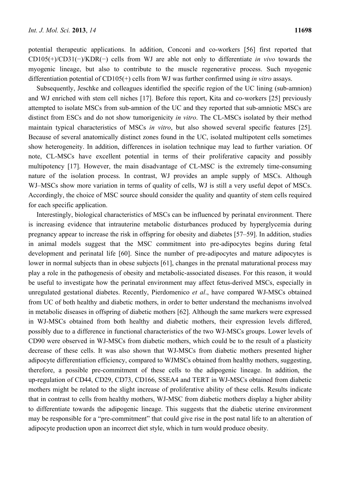potential therapeutic applications. In addition, Conconi and co-workers [56] first reported that CD105(+)/CD31(−)/KDR(−) cells from WJ are able not only to differentiate *in vivo* towards the myogenic lineage, but also to contribute to the muscle regenerative process. Such myogenic differentiation potential of CD105(+) cells from WJ was further confirmed using *in vitro* assays.

Subsequently, Jeschke and colleagues identified the specific region of the UC lining (sub-amnion) and WJ enriched with stem cell niches [17]. Before this report, Kita and co-workers [25] previously attempted to isolate MSCs from sub-amnion of the UC and they reported that sub-amniotic MSCs are distinct from ESCs and do not show tumorigenicity *in vitro*. The CL-MSCs isolated by their method maintain typical characteristics of MSCs *in vitro*, but also showed several specific features [25]. Because of several anatomically distinct zones found in the UC, isolated multipotent cells sometimes show heterogeneity. In addition, differences in isolation technique may lead to further variation. Of note, CL-MSCs have excellent potential in terms of their proliferative capacity and possibly multipotency [17]. However, the main disadvantage of CL-MSC is the extremely time-consuming nature of the isolation process. In contrast, WJ provides an ample supply of MSCs. Although WJ–MSCs show more variation in terms of quality of cells, WJ is still a very useful depot of MSCs. Accordingly, the choice of MSC source should consider the quality and quantity of stem cells required for each specific application.

Interestingly, biological characteristics of MSCs can be influenced by perinatal environment. There is increasing evidence that intrauterine metabolic disturbances produced by hyperglycemia during pregnancy appear to increase the risk in offspring for obesity and diabetes [57–59]. In addition, studies in animal models suggest that the MSC commitment into pre-adipocytes begins during fetal development and perinatal life [60]. Since the number of pre-adipocytes and mature adipocytes is lower in normal subjects than in obese subjects [61], changes in the prenatal maturational process may play a role in the pathogenesis of obesity and metabolic-associated diseases. For this reason, it would be useful to investigate how the perinatal environment may affect fetus-derived MSCs, especially in unregulated gestational diabetes. Recently, Pierdomenico *et al*., have compared WJ-MSCs obtained from UC of both healthy and diabetic mothers, in order to better understand the mechanisms involved in metabolic diseases in offspring of diabetic mothers [62]. Although the same markers were expressed in WJ-MSCs obtained from both healthy and diabetic mothers, their expression levels differed, possibly due to a difference in functional characteristics of the two WJ-MSCs groups. Lower levels of CD90 were observed in WJ-MSCs from diabetic mothers, which could be to the result of a plasticity decrease of these cells. It was also shown that WJ-MSCs from diabetic mothers presented higher adipocyte differentiation efficiency, compared to WJMSCs obtained from healthy mothers, suggesting, therefore, a possible pre-commitment of these cells to the adipogenic lineage. In addition, the up-regulation of CD44, CD29, CD73, CD166, SSEA4 and TERT in WJ-MSCs obtained from diabetic mothers might be related to the slight increase of proliferative ability of these cells. Results indicate that in contrast to cells from healthy mothers, WJ-MSC from diabetic mothers display a higher ability to differentiate towards the adipogenic lineage. This suggests that the diabetic uterine environment may be responsible for a "pre-commitment" that could give rise in the post natal life to an alteration of adipocyte production upon an incorrect diet style, which in turn would produce obesity.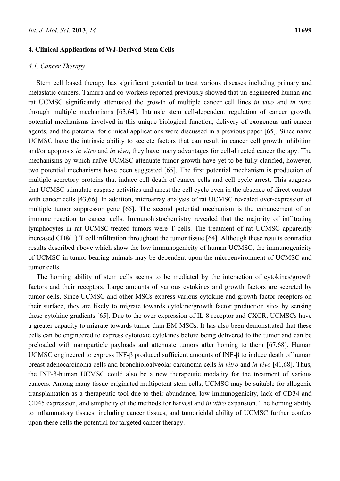#### **4. Clinical Applications of WJ-Derived Stem Cells**

## *4.1. Cancer Therapy*

Stem cell based therapy has significant potential to treat various diseases including primary and metastatic cancers. Tamura and co-workers reported previously showed that un-engineered human and rat UCMSC significantly attenuated the growth of multiple cancer cell lines *in vivo* and *in vitro* through multiple mechanisms [63,64]. Intrinsic stem cell-dependent regulation of cancer growth, potential mechanisms involved in this unique biological function, delivery of exogenous anti-cancer agents, and the potential for clinical applications were discussed in a previous paper [65]. Since naive UCMSC have the intrinsic ability to secrete factors that can result in cancer cell growth inhibition and/or apoptosis *in vitro* and *in vivo*, they have many advantages for cell-directed cancer therapy. The mechanisms by which naïve UCMSC attenuate tumor growth have yet to be fully clarified, however, two potential mechanisms have been suggested [65]. The first potential mechanism is production of multiple secretory proteins that induce cell death of cancer cells and cell cycle arrest. This suggests that UCMSC stimulate caspase activities and arrest the cell cycle even in the absence of direct contact with cancer cells [43,66]. In addition, microarray analysis of rat UCMSC revealed over-expression of multiple tumor suppressor gene [65]. The second potential mechanism is the enhancement of an immune reaction to cancer cells. Immunohistochemistry revealed that the majority of infiltrating lymphocytes in rat UCMSC-treated tumors were T cells. The treatment of rat UCMSC apparently increased CD8(+) T cell infiltration throughout the tumor tissue [64]. Although these results contradict results described above which show the low immunogenicity of human UCMSC, the immunogenicity of UCMSC in tumor bearing animals may be dependent upon the microenvironment of UCMSC and tumor cells.

The homing ability of stem cells seems to be mediated by the interaction of cytokines/growth factors and their receptors. Large amounts of various cytokines and growth factors are secreted by tumor cells. Since UCMSC and other MSCs express various cytokine and growth factor receptors on their surface, they are likely to migrate towards cytokine/growth factor production sites by sensing these cytokine gradients [65]. Due to the over-expression of IL-8 receptor and CXCR, UCMSCs have a greater capacity to migrate towards tumor than BM-MSCs. It has also been demonstrated that these cells can be engineered to express cytotoxic cytokines before being delivered to the tumor and can be preloaded with nanoparticle payloads and attenuate tumors after homing to them [67,68]. Human UCMSC engineered to express INF-β produced sufficient amounts of INF-β to induce death of human breast adenocarcinoma cells and bronchioloalveolar carcinoma cells *in vitro* and *in vivo* [41,68]. Thus, the INF-β-human UCMSC could also be a new therapeutic modality for the treatment of various cancers. Among many tissue-originated multipotent stem cells, UCMSC may be suitable for allogenic transplantation as a therapeutic tool due to their abundance, low immunogenicity, lack of CD34 and CD45 expression, and simplicity of the methods for harvest and *in vitro* expansion. The homing ability to inflammatory tissues, including cancer tissues, and tumoricidal ability of UCMSC further confers upon these cells the potential for targeted cancer therapy.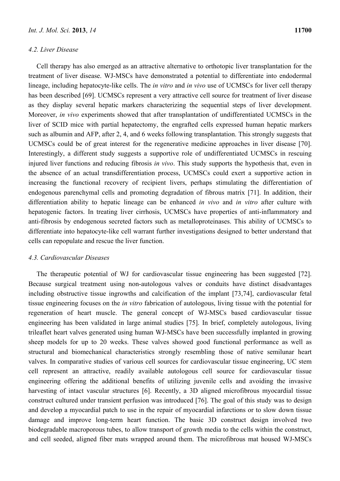#### *4.2. Liver Disease*

Cell therapy has also emerged as an attractive alternative to orthotopic liver transplantation for the treatment of liver disease. WJ-MSCs have demonstrated a potential to differentiate into endodermal lineage, including hepatocyte-like cells. The *in vitro* and *in vivo* use of UCMSCs for liver cell therapy has been described [69]. UCMSCs represent a very attractive cell source for treatment of liver disease as they display several hepatic markers characterizing the sequential steps of liver development. Moreover, *in vivo* experiments showed that after transplantation of undifferentiated UCMSCs in the liver of SCID mice with partial hepatectomy, the engrafted cells expressed human hepatic markers such as albumin and AFP, after 2, 4, and 6 weeks following transplantation. This strongly suggests that UCMSCs could be of great interest for the regenerative medicine approaches in liver disease [70]. Interestingly, a different study suggests a supportive role of undifferentiated UCMSCs in rescuing injured liver functions and reducing fibrosis *in vivo*. This study supports the hypothesis that, even in the absence of an actual transdifferentiation process, UCMSCs could exert a supportive action in increasing the functional recovery of recipient livers, perhaps stimulating the differentiation of endogenous parenchymal cells and promoting degradation of fibrous matrix [71]. In addition, their differentiation ability to hepatic lineage can be enhanced *in vivo* and *in vitro* after culture with hepatogenic factors. In treating liver cirrhosis, UCMSCs have properties of anti-inflammatory and anti-fibrosis by endogenous secreted factors such as metalloproteinases. This ability of UCMSCs to differentiate into hepatocyte-like cell warrant further investigations designed to better understand that cells can repopulate and rescue the liver function.

#### *4.3. Cardiovascular Diseases*

The therapeutic potential of WJ for cardiovascular tissue engineering has been suggested [72]. Because surgical treatment using non-autologous valves or conduits have distinct disadvantages including obstructive tissue ingrowths and calcification of the implant [73,74], cardiovascular fetal tissue engineering focuses on the *in vitro* fabrication of autologous, living tissue with the potential for regeneration of heart muscle. The general concept of WJ-MSCs based cardiovascular tissue engineering has been validated in large animal studies [75]. In brief, completely autologous, living trileaflet heart valves generated using human WJ-MSCs have been successfully implanted in growing sheep models for up to 20 weeks. These valves showed good functional performance as well as structural and biomechanical characteristics strongly resembling those of native semilunar heart valves. In comparative studies of various cell sources for cardiovascular tissue engineering, UC stem cell represent an attractive, readily available autologous cell source for cardiovascular tissue engineering offering the additional benefits of utilizing juvenile cells and avoiding the invasive harvesting of intact vascular structures [6]. Recently, a 3D aligned microfibrous myocardial tissue construct cultured under transient perfusion was introduced [76]. The goal of this study was to design and develop a myocardial patch to use in the repair of myocardial infarctions or to slow down tissue damage and improve long-term heart function. The basic 3D construct design involved two biodegradable macroporous tubes, to allow transport of growth media to the cells within the construct, and cell seeded, aligned fiber mats wrapped around them. The microfibrous mat housed WJ-MSCs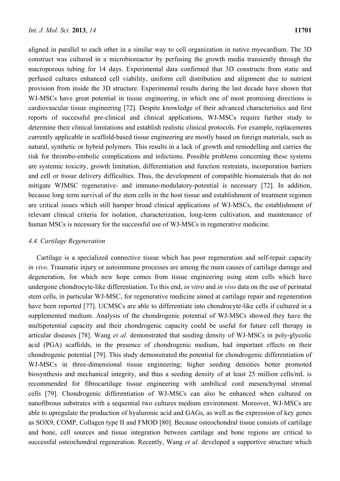aligned in parallel to each other in a similar way to cell organization in native myocardium. The 3D construct was cultured in a microbioreactor by perfusing the growth media transiently through the macroporous tubing for 14 days. Experimental data confirmed that 3D constructs from static and perfused cultures enhanced cell viability, uniform cell distribution and alignment due to nutrient provision from inside the 3D structure. Experimental results during the last decade have shown that WJ-MSCs have great potential in tissue engineering, in which one of most promising directions is cardiovascular tissue engineering [72]. Despite knowledge of their advanced characteristics and first reports of successful pre-clinical and clinical applications, WJ-MSCs require further study to determine their clinical limitations and establish realistic clinical protocols. For example, replacements currently applicable in scaffold-based tissue engineering are mostly based on foreign materials, such as natural, synthetic or hybrid polymers. This results in a lack of growth and remodelling and carries the risk for thrombo-embolic complications and infections. Possible problems concerning these systems are systemic toxicity, growth limitation, differentiation and function restraints, incorporation barriers and cell or tissue delivery difficulties. Thus, the development of compatible biomaterials that do not mitigate WJMSC regenerative- and immuno-modulatory-potential is necessary [72]. In addition, because long term survival of the stem cells in the host tissue and establishment of treatment regimen are critical issues which still hamper broad clinical applications of WJ-MSCs, the establishment of relevant clinical criteria for isolation, characterization, long-term cultivation, and maintenance of human MSCs is necessary for the successful use of WJ-MSCs in regenerative medicine.

## *4.4. Cartilage Regeneration*

Cartilage is a specialized connective tissue which has poor regeneration and self-repair capacity *in vivo*. Traumatic injury or autoimmune processes are among the main causes of cartilage damage and degeneration, for which new hope comes from tissue engineering using stem cells which have undergone chondrocyte-like differentiation. To this end, *in vitro* and *in vivo* data on the use of perinatal stem cells, in particular WJ-MSC, for regenerative medicine aimed at cartilage repair and regeneration have been reported [77]. UCMSCs are able to differentiate into chondrocyte-like cells if cultured in a supplemented medium. Analysis of the chondrogenic potential of WJ-MSCs showed they have the multipotential capacity and their chondrogenic capacity could be useful for future cell therapy in articular diseases [78]. Wang *et al*. demonstrated that seeding density of WJ-MSCs in poly-glycolic acid (PGA) scaffolds, in the presence of chondrogenic medium, had important effects on their chondrogenic potential [79]. This study demonstrated the potential for chondrogenic differentiation of WJ-MSCs in three-dimensional tissue engineering; higher seeding densities better promoted biosynthesis and mechanical integrity, and thus a seeding density of at least 25 million cells/mL is recommended for fibrocartilage tissue engineering with umbilical cord mesenchymal stromal cells [79]. Chondrogenic differentiation of WJ-MSCs can also be enhanced when cultured on nanofibrous substrates with a sequential two cultures medium environment. Moreover, WJ-MSCs are able to upregulate the production of hyaluronic acid and GAGs, as well as the expression of key genes as SOX9, COMP, Collagen type II and FMOD [80]. Because osteochondral tissue consists of cartilage and bone, cell sources and tissue integration between cartilage and bone regions are critical to successful osteochondral regeneration. Recently, Wang *et al*. developed a supportive structure which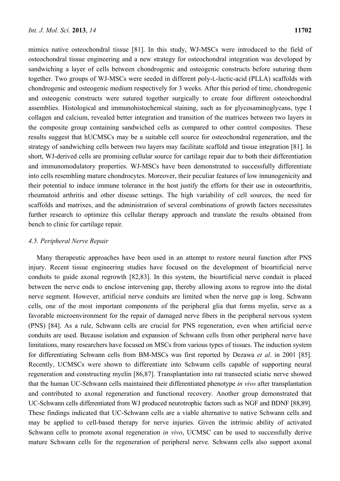mimics native osteochondral tissue [81]. In this study, WJ-MSCs were introduced to the field of osteochondral tissue engineering and a new strategy for osteochondral integration was developed by sandwiching a layer of cells between chondrogenic and osteogenic constructs before suturing them together. Two groups of WJ-MSCs were seeded in different poly-L-lactic-acid (PLLA) scaffolds with chondrogenic and osteogenic medium respectively for 3 weeks. After this period of time, chondrogenic and osteogenic constructs were sutured together surgically to create four different osteochondral assemblies. Histological and immunohistochemical staining, such as for glycosaminoglycans, type I collagen and calcium, revealed better integration and transition of the matrices between two layers in the composite group containing sandwiched cells as compared to other control composites. These results suggest that hUCMSCs may be a suitable cell source for osteochondral regeneration, and the strategy of sandwiching cells between two layers may facilitate scaffold and tissue integration [81]. In short, WJ-derived cells are promising cellular source for cartilage repair due to both their differentiation and immunomodulatory properties. WJ-MSCs have been demonstrated to successfully differentiate into cells resembling mature chondrocytes. Moreover, their peculiar features of low innunogenicity and their potential to induce immune tolerance in the host justify the efforts for their use in osteoarthritis, rheumatoid arthritis and other disease settings. The high variability of cell sources, the need for scaffolds and matrixes, and the administration of several combinations of growth factors necessitates further research to optimize this cellular therapy approach and translate the results obtained from bench to clinic for cartilage repair.

# *4.5. Peripheral Nerve Repair*

Many therapeutic approaches have been used in an attempt to restore neural function after PNS injury. Recent tissue engineering studies have focused on the development of bioartificial nerve conduits to guide axonal regrowth [82,83]. In this system, the bioartificial nerve conduit is placed between the nerve ends to enclose intervening gap, thereby allowing axons to regrow into the distal nerve segment. However, artificial nerve conduits are limited when the nerve gap is long. Schwann cells, one of the most important components of the peripheral glia that forms myelin, serve as a favorable microenvironment for the repair of damaged nerve fibers in the peripheral nervous system (PNS) [84]. As a rule, Schwann cells are crucial for PNS regeneration, even when artificial nerve conduits are used. Because isolation and expansion of Schwann cells from other peripheral nerve have limitations, many researchers have focused on MSCs from various types of tissues. The induction system for differentiating Schwann cells from BM-MSCs was first reported by Dezawa *et al*. in 2001 [85]. Recently, UCMSCs were shown to differentiate into Schwann cells capable of supporting neural regeneration and constructing myelin [86,87]. Transplantation into rat transected sciatic nerve showed that the human UC-Schwann cells maintained their differentiated phenotype *in vivo* after transplantation and contributed to axonal regeneration and functional recovery. Another group demonstrated that UC-Schwann cells differentiated from WJ produced neurotrophic factors such as NGF and BDNF [88,89]. These findings indicated that UC-Schwann cells are a viable alternative to native Schwann cells and may be applied to cell-based therapy for nerve injuries. Given the intrinsic ability of activated Schwann cells to promote axonal regeneration *in vivo*, UCMSC can be used to successfully derive mature Schwann cells for the regeneration of peripheral nerve. Schwann cells also support axonal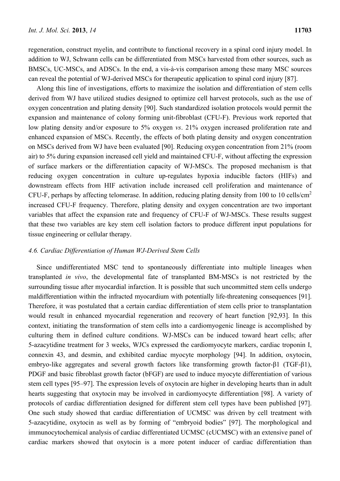regeneration, construct myelin, and contribute to functional recovery in a spinal cord injury model. In addition to WJ, Schwann cells can be differentiated from MSCs harvested from other sources, such as BMSCs, UC-MSCs, and ADSCs. In the end, a vis-à-vis comparison among these many MSC sources can reveal the potential of WJ-derived MSCs for therapeutic application to spinal cord injury [87].

Along this line of investigations, efforts to maximize the isolation and differentiation of stem cells derived from WJ have utilized studies designed to optimize cell harvest protocols, such as the use of oxygen concentration and plating density [90]. Such standardized isolation protocols would permit the expansion and maintenance of colony forming unit-fibroblast (CFU-F). Previous work reported that low plating density and/or exposure to 5% oxygen *vs*. 21% oxygen increased proliferation rate and enhanced expansion of MSCs. Recently, the effects of both plating density and oxygen concentration on MSCs derived from WJ have been evaluated [90]. Reducing oxygen concentration from 21% (room air) to 5% during expansion increased cell yield and maintained CFU-F, without affecting the expression of surface markers or the differentiation capacity of WJ-MSCs. The proposed mechanism is that reducing oxygen concentration in culture up-regulates hypoxia inducible factors (HIFs) and downstream effects from HIF activation include increased cell proliferation and maintenance of CFU-F, perhaps by affecting telomerase. In addition, reducing plating density from 100 to 10 cells/cm<sup>2</sup> increased CFU-F frequency. Therefore, plating density and oxygen concentration are two important variables that affect the expansion rate and frequency of CFU-F of WJ-MSCs. These results suggest that these two variables are key stem cell isolation factors to produce different input populations for tissue engineering or cellular therapy.

#### *4.6. Cardiac Differentiation of Human WJ-Derived Stem Cells*

Since undifferentiated MSC tend to spontaneously differentiate into multiple lineages when transplanted *in vivo*, the developmental fate of transplanted BM-MSCs is not restricted by the surrounding tissue after myocardial infarction. It is possible that such uncommitted stem cells undergo maldifferentiation within the infracted myocardium with potentially life-threatening consequences [91]. Therefore, it was postulated that a certain cardiac differentiation of stem cells prior to transplantation would result in enhanced myocardial regeneration and recovery of heart function [92,93]. In this context, initiating the transformation of stem cells into a cardiomyogenic lineage is accomplished by culturing them in defined culture conditions. WJ-MSCs can be induced toward heart cells; after 5-azacytidine treatment for 3 weeks, WJCs expressed the cardiomyocyte markers, cardiac troponin I, connexin 43, and desmin, and exhibited cardiac myocyte morphology [94]. In addition, oxytocin, embryo-like aggregates and several growth factors like transforming growth factor-β1 (TGF-β1), PDGF and basic fibroblast growth factor (bFGF) are used to induce myocyte differentiation of various stem cell types [95–97]. The expression levels of oxytocin are higher in developing hearts than in adult hearts suggesting that oxytocin may be involved in cardiomyocyte differentiation [98]. A variety of protocols of cardiac differentiation designed for different stem cell types have been published [97]. One such study showed that cardiac differentiation of UCMSC was driven by cell treatment with 5-azacytidine, oxytocin as well as by forming of "embryoid bodies" [97]. The morphological and immunocytochemical analysis of cardiac differentiated UCMSC (cUCMSC) with an extensive panel of cardiac markers showed that oxytocin is a more potent inducer of cardiac differentiation than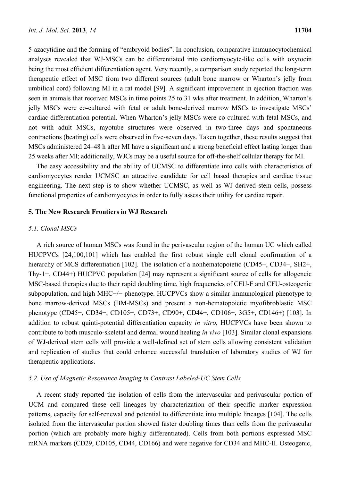5-azacytidine and the forming of "embryoid bodies". In conclusion, comparative immunocytochemical analyses revealed that WJ-MSCs can be differentiated into cardiomyocyte-like cells with oxytocin being the most efficient differentiation agent. Very recently, a comparison study reported the long-term therapeutic effect of MSC from two different sources (adult bone marrow or Wharton's jelly from umbilical cord) following MI in a rat model [99]. A significant improvement in ejection fraction was seen in animals that received MSCs in time points 25 to 31 wks after treatment. In addition, Wharton's jelly MSCs were co-cultured with fetal or adult bone-derived marrow MSCs to investigate MSCs' cardiac differentiation potential. When Wharton's jelly MSCs were co-cultured with fetal MSCs, and not with adult MSCs, myotube structures were observed in two-three days and spontaneous contractions (beating) cells were observed in five-seven days. Taken together, these results suggest that MSCs administered 24–48 h after MI have a significant and a strong beneficial effect lasting longer than 25 weeks after MI; additionally, WJCs may be a useful source for off-the-shelf cellular therapy for MI.

The easy accessibility and the ability of UCMSC to differentiate into cells with characteristics of cardiomyocytes render UCMSC an attractive candidate for cell based therapies and cardiac tissue engineering. The next step is to show whether UCMSC, as well as WJ-derived stem cells, possess functional properties of cardiomyocytes in order to fully assess their utility for cardiac repair.

#### **5. The New Research Frontiers in WJ Research**

## *5.1. Clonal MSCs*

A rich source of human MSCs was found in the perivascular region of the human UC which called HUCPVCs [24,100,101] which has enabled the first robust single cell clonal confirmation of a hierarchy of MCS differentiation [102]. The isolation of a nonhematopoietic (CD45−, CD34−, SH2+, Thy-1+, CD44+) HUCPVC population [24] may represent a significant source of cells for allogeneic MSC-based therapies due to their rapid doubling time, high frequencies of CFU-F and CFU-osteogenic subpopulation, and high MHC−/− phenotype. HUCPVCs show a similar immunological phenotype to bone marrow-derived MSCs (BM-MSCs) and present a non-hematopoietic myofibroblastic MSC phenotype (CD45−, CD34−, CD105+, CD73+, CD90+, CD44+, CD106+, 3G5+, CD146+) [103]. In addition to robust quinti-potential differentiation capacity *in vitro*, HUCPVCs have been shown to contribute to both musculo-skeletal and dermal wound healing *in vivo* [103]. Similar clonal expansions of WJ-derived stem cells will provide a well-defined set of stem cells allowing consistent validation and replication of studies that could enhance successful translation of laboratory studies of WJ for therapeutic applications.

#### *5.2. Use of Magnetic Resonance Imaging in Contrast Labeled-UC Stem Cells*

A recent study reported the isolation of cells from the intervascular and perivascular portion of UCM and compared these cell lineages by characterization of their specific marker expression patterns, capacity for self-renewal and potential to differentiate into multiple lineages [104]. The cells isolated from the intervascular portion showed faster doubling times than cells from the perivascular portion (which are probably more highly differentiated). Cells from both portions expressed MSC mRNA markers (CD29, CD105, CD44, CD166) and were negative for CD34 and MHC-II. Osteogenic,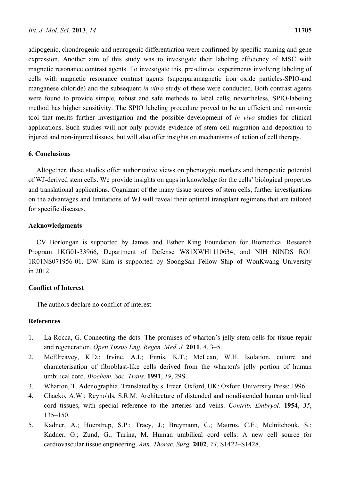adipogenic, chondrogenic and neurogenic differentiation were confirmed by specific staining and gene expression. Another aim of this study was to investigate their labeling efficiency of MSC with magnetic resonance contrast agents. To investigate this, pre-clinical experiments involving labeling of cells with magnetic resonance contrast agents (superparamagnetic iron oxide particles-SPIO-and manganese chloride) and the subsequent *in vitro* study of these were conducted. Both contrast agents were found to provide simple, robust and safe methods to label cells; nevertheless, SPIO-labeling method has higher sensitivity. The SPIO labeling procedure proved to be an efficient and non-toxic tool that merits further investigation and the possible development of *in vivo* studies for clinical applications. Such studies will not only provide evidence of stem cell migration and deposition to injured and non-injured tissues, but will also offer insights on mechanisms of action of cell therapy.

## **6. Conclusions**

Altogether, these studies offer authoritative views on phenotypic markers and therapeutic potential of WJ-derived stem cells. We provide insights on gaps in knowledge for the cells' biological properties and translational applications. Cognizant of the many tissue sources of stem cells, further investigations on the advantages and limitations of WJ will reveal their optimal transplant regimens that are tailored for specific diseases.

## **Acknowledgments**

CV Borlongan is supported by James and Esther King Foundation for Biomedical Research Program 1KG01-33966, Department of Defense W81XWH1110634, and NIH NINDS RO1 1R01NS071956-01. DW Kim is supported by SoongSan Fellow Ship of WonKwang University in 2012.

# **Conflict of Interest**

The authors declare no conflict of interest.

#### **References**

- 1. La Rocca, G. Connecting the dots: The promises of wharton's jelly stem cells for tissue repair and regeneration. *Open Tissue Eng. Regen. Med. J.* **2011**, *4*, 3–5.
- 2. McElreavey, K.D.; Irvine, A.I.; Ennis, K.T.; McLean, W.H. Isolation, culture and characterisation of fibroblast-like cells derived from the wharton's jelly portion of human umbilical cord. *Biochem. Soc. Trans.* **1991**, *19*, 29S.
- 3. Wharton, T. Adenographia. Translated by s. Freer. Oxford, UK: Oxford University Press: 1996.
- 4. Chacko, A.W.; Reynolds, S.R.M. Architecture of distended and nondistended human umbilical cord tissues, with special reference to the arteries and veins. *Contrib. Embryol.* **1954**, *35*, 135–150.
- 5. Kadner, A.; Hoerstrup, S.P.; Tracy, J.; Breymann, C.; Maurus, C.F.; Melnitchouk, S.; Kadner, G.; Zund, G.; Turina, M. Human umbilical cord cells: A new cell source for cardiovascular tissue engineering. *Ann. Thorac. Surg.* **2002**, *74*, S1422–S1428.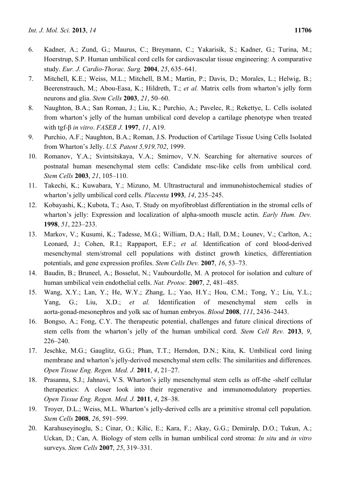- 6. Kadner, A.; Zund, G.; Maurus, C.; Breymann, C.; Yakarisik, S.; Kadner, G.; Turina, M.; Hoerstrup, S.P. Human umbilical cord cells for cardiovascular tissue engineering: A comparative study. *Eur. J. Cardio-Thorac. Surg.* **2004**, *25*, 635–641.
- 7. Mitchell, K.E.; Weiss, M.L.; Mitchell, B.M.; Martin, P.; Davis, D.; Morales, L.; Helwig, B.; Beerenstrauch, M.; Abou-Easa, K.; Hildreth, T.; *et al.* Matrix cells from wharton's jelly form neurons and glia. *Stem Cells* **2003**, *21*, 50–60.
- 8. Naughton, B.A.; San Roman, J.; Liu, K.; Purchio, A.; Pavelec, R.; Rekettye, L. Cells isolated from wharton's jelly of the human umbilical cord develop a cartilage phenotype when treated with tgf-β *in vitro*. *FASEB J.* **1997**, *11*, A19.
- 9. Purchio, A.F.; Naughton, B.A.; Roman, J.S. Production of Cartilage Tissue Using Cells Isolated from Wharton's Jelly. *U.S. Patent 5,919,702*, 1999.
- 10. Romanov, Y.A.; Svintsitskaya, V.A.; Smirnov, V.N. Searching for alternative sources of postnatal human mesenchymal stem cells: Candidate msc-like cells from umbilical cord. *Stem Cells* **2003**, *21*, 105–110.
- 11. Takechi, K.; Kuwabara, Y.; Mizuno, M. Ultrastructural and immunohistochemical studies of wharton's jelly umbilical cord cells. *Placenta* **1993**, *14*, 235–245.
- 12. Kobayashi, K.; Kubota, T.; Aso, T. Study on myofibroblast differentiation in the stromal cells of wharton's jelly: Expression and localization of alpha-smooth muscle actin. *Early Hum. Dev.*  **1998**, *51*, 223–233.
- 13. Markov, V.; Kusumi, K.; Tadesse, M.G.; William, D.A.; Hall, D.M.; Lounev, V.; Carlton, A.; Leonard, J.; Cohen, R.I.; Rappaport, E.F.; *et al.* Identification of cord blood-derived mesenchymal stem/stromal cell populations with distinct growth kinetics, differentiation potentials, and gene expression profiles. *Stem Cells Dev.* **2007**, *16*, 53–73.
- 14. Baudin, B.; Bruneel, A.; Bosselut, N.; Vaubourdolle, M. A protocol for isolation and culture of human umbilical vein endothelial cells. *Nat. Protoc.* **2007**, *2*, 481–485.
- 15. Wang, X.Y.; Lan, Y.; He, W.Y.; Zhang, L.; Yao, H.Y.; Hou, C.M.; Tong, Y.; Liu, Y.L.; Yang, G.; Liu, X.D.; *et al.* Identification of mesenchymal stem cells in aorta-gonad-mesonephros and yolk sac of human embryos. *Blood* **2008**, *111*, 2436–2443.
- 16. Bongso, A.; Fong, C.Y. The therapeutic potential, challenges and future clinical directions of stem cells from the wharton's jelly of the human umbilical cord. *Stem Cell Rev.* **2013**, *9*, 226–240.
- 17. Jeschke, M.G.; Gauglitz, G.G.; Phan, T.T.; Herndon, D.N.; Kita, K. Umbilical cord lining membrane and wharton's jelly-derived mesenchymal stem cells: The similarities and differences. *Open Tissue Eng. Regen. Med. J.* **2011**, *4*, 21–27.
- 18. Prasanna, S.J.; Jahnavi, V.S. Wharton's jelly mesenchymal stem cells as off-the -shelf cellular therapeutics: A closer look into their regenerative and immunomodulatory properties. *Open Tissue Eng. Regen. Med. J.* **2011**, *4*, 28–38.
- 19. Troyer, D.L.; Weiss, M.L. Wharton's jelly-derived cells are a primitive stromal cell population. *Stem Cells* **2008**, *26*, 591–599.
- 20. Karahuseyinoglu, S.; Cinar, O.; Kilic, E.; Kara, F.; Akay, G.G.; Demiralp, D.O.; Tukun, A.; Uckan, D.; Can, A. Biology of stem cells in human umbilical cord stroma: *In situ* and *in vitro* surveys. *Stem Cells* **2007**, *25*, 319–331.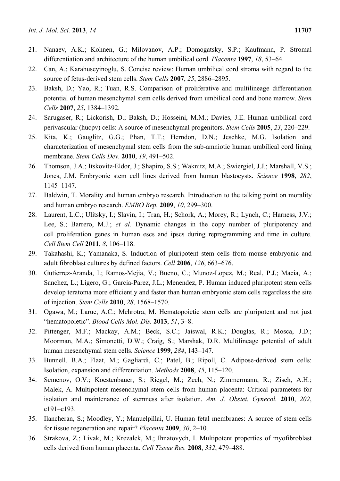- 21. Nanaev, A.K.; Kohnen, G.; Milovanov, A.P.; Domogatsky, S.P.; Kaufmann, P. Stromal differentiation and architecture of the human umbilical cord. *Placenta* **1997**, *18*, 53–64.
- 22. Can, A.; Karahuseyinoglu, S. Concise review: Human umbilical cord stroma with regard to the source of fetus-derived stem cells. *Stem Cells* **2007**, *25*, 2886–2895.
- 23. Baksh, D.; Yao, R.; Tuan, R.S. Comparison of proliferative and multilineage differentiation potential of human mesenchymal stem cells derived from umbilical cord and bone marrow. *Stem Cells* **2007**, *25*, 1384–1392.
- 24. Sarugaser, R.; Lickorish, D.; Baksh, D.; Hosseini, M.M.; Davies, J.E. Human umbilical cord perivascular (hucpv) cells: A source of mesenchymal progenitors. *Stem Cells* **2005**, *23*, 220–229.
- 25. Kita, K.; Gauglitz, G.G.; Phan, T.T.; Herndon, D.N.; Jeschke, M.G. Isolation and characterization of mesenchymal stem cells from the sub-amniotic human umbilical cord lining membrane. *Stem Cells Dev.* **2010**, *19*, 491–502.
- 26. Thomson, J.A.; Itskovitz-Eldor, J.; Shapiro, S.S.; Waknitz, M.A.; Swiergiel, J.J.; Marshall, V.S.; Jones, J.M. Embryonic stem cell lines derived from human blastocysts. *Science* **1998**, *282*, 1145–1147.
- 27. Baldwin, T. Morality and human embryo research. Introduction to the talking point on morality and human embryo research. *EMBO Rep.* **2009**, *10*, 299–300.
- 28. Laurent, L.C.; Ulitsky, I.; Slavin, I.; Tran, H.; Schork, A.; Morey, R.; Lynch, C.; Harness, J.V.; Lee, S.; Barrero, M.J.; *et al.* Dynamic changes in the copy number of pluripotency and cell proliferation genes in human escs and ipscs during reprogramming and time in culture. *Cell Stem Cell* **2011**, *8*, 106–118.
- 29. Takahashi, K.; Yamanaka, S. Induction of pluripotent stem cells from mouse embryonic and adult fibroblast cultures by defined factors. *Cell* **2006**, *126*, 663–676.
- 30. Gutierrez-Aranda, I.; Ramos-Mejia, V.; Bueno, C.; Munoz-Lopez, M.; Real, P.J.; Macia, A.; Sanchez, L.; Ligero, G.; Garcia-Parez, J.L.; Menendez, P. Human induced pluripotent stem cells develop teratoma more efficiently and faster than human embryonic stem cells regardless the site of injection. *Stem Cells* **2010**, *28*, 1568–1570.
- 31. Ogawa, M.; Larue, A.C.; Mehrotra, M. Hematopoietic stem cells are pluripotent and not just "hematopoietic". *Blood Cells Mol. Dis.* **2013**, *51*, 3–8.
- 32. Pittenger, M.F.; Mackay, A.M.; Beck, S.C.; Jaiswal, R.K.; Douglas, R.; Mosca, J.D.; Moorman, M.A.; Simonetti, D.W.; Craig, S.; Marshak, D.R. Multilineage potential of adult human mesenchymal stem cells. *Science* **1999**, *284*, 143–147.
- 33. Bunnell, B.A.; Flaat, M.; Gagliardi, C.; Patel, B.; Ripoll, C. Adipose-derived stem cells: Isolation, expansion and differentiation. *Methods* **2008**, *45*, 115–120.
- 34. Semenov, O.V.; Koestenbauer, S.; Riegel, M.; Zech, N.; Zimmermann, R.; Zisch, A.H.; Malek, A. Multipotent mesenchymal stem cells from human placenta: Critical parameters for isolation and maintenance of stemness after isolation. *Am. J. Obstet. Gynecol.* **2010**, *202*, e191–e193.
- 35. Ilancheran, S.; Moodley, Y.; Manuelpillai, U. Human fetal membranes: A source of stem cells for tissue regeneration and repair? *Placenta* **2009**, *30*, 2–10.
- 36. Strakova, Z.; Livak, M.; Krezalek, M.; Ihnatovych, I. Multipotent properties of myofibroblast cells derived from human placenta. *Cell Tissue Res.* **2008**, *332*, 479–488.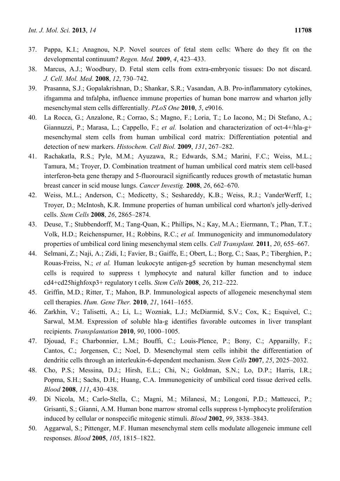- 37. Pappa, K.I.; Anagnou, N.P. Novel sources of fetal stem cells: Where do they fit on the developmental continuum? *Regen. Med.* **2009**, *4*, 423–433.
- 38. Marcus, A.J.; Woodbury, D. Fetal stem cells from extra-embryonic tissues: Do not discard. *J. Cell. Mol. Med.* **2008**, *12*, 730–742.
- 39. Prasanna, S.J.; Gopalakrishnan, D.; Shankar, S.R.; Vasandan, A.B. Pro-inflammatory cytokines, ifngamma and tnfalpha, influence immune properties of human bone marrow and wharton jelly mesenchymal stem cells differentially. *PLoS One* **2010**, *5*, e9016.
- 40. La Rocca, G.; Anzalone, R.; Corrao, S.; Magno, F.; Loria, T.; Lo Iacono, M.; Di Stefano, A.; Giannuzzi, P.; Marasa, L.; Cappello, F.; *et al.* Isolation and characterization of oct-4+/hla-g+ mesenchymal stem cells from human umbilical cord matrix: Differentiation potential and detection of new markers. *Histochem. Cell Biol.* **2009**, *131*, 267–282.
- 41. Rachakatla, R.S.; Pyle, M.M.; Ayuzawa, R.; Edwards, S.M.; Marini, F.C.; Weiss, M.L.; Tamura, M.; Troyer, D. Combination treatment of human umbilical cord matrix stem cell-based interferon-beta gene therapy and 5-fluorouracil significantly reduces growth of metastatic human breast cancer in scid mouse lungs. *Cancer Investig.* **2008**, *26*, 662–670.
- 42. Weiss, M.L.; Anderson, C.; Medicetty, S.; Seshareddy, K.B.; Weiss, R.J.; VanderWerff, I.; Troyer, D.; McIntosh, K.R. Immune properties of human umbilical cord wharton's jelly-derived cells. *Stem Cells* **2008**, *26*, 2865–2874.
- 43. Deuse, T.; Stubbendorff, M.; Tang-Quan, K.; Phillips, N.; Kay, M.A.; Eiermann, T.; Phan, T.T.; Volk, H.D.; Reichenspurner, H.; Robbins, R.C.; *et al.* Immunogenicity and immunomodulatory properties of umbilical cord lining mesenchymal stem cells. *Cell Transplant.* **2011**, *20*, 655–667.
- 44. Selmani, Z.; Naji, A.; Zidi, I.; Favier, B.; Gaiffe, E.; Obert, L.; Borg, C.; Saas, P.; Tiberghien, P.; Rouas-Freiss, N.; *et al.* Human leukocyte antigen-g5 secretion by human mesenchymal stem cells is required to suppress t lymphocyte and natural killer function and to induce cd4+cd25highfoxp3+ regulatory t cells. *Stem Cells* **2008**, *26*, 212–222.
- 45. Griffin, M.D.; Ritter, T.; Mahon, B.P. Immunological aspects of allogeneic mesenchymal stem cell therapies. *Hum. Gene Ther.* **2010**, *21*, 1641–1655.
- 46. Zarkhin, V.; Talisetti, A.; Li, L.; Wozniak, L.J.; McDiarmid, S.V.; Cox, K.; Esquivel, C.; Sarwal, M.M. Expression of soluble hla-g identifies favorable outcomes in liver transplant recipients. *Transplantation* **2010**, *90*, 1000–1005.
- 47. Djouad, F.; Charbonnier, L.M.; Bouffi, C.; Louis-Plence, P.; Bony, C.; Apparailly, F.; Cantos, C.; Jorgensen, C.; Noel, D. Mesenchymal stem cells inhibit the differentiation of dendritic cells through an interleukin-6-dependent mechanism. *Stem Cells* **2007**, *25*, 2025–2032.
- 48. Cho, P.S.; Messina, D.J.; Hirsh, E.L.; Chi, N.; Goldman, S.N.; Lo, D.P.; Harris, I.R.; Popma, S.H.; Sachs, D.H.; Huang, C.A. Immunogenicity of umbilical cord tissue derived cells. *Blood* **2008**, *111*, 430–438.
- 49. Di Nicola, M.; Carlo-Stella, C.; Magni, M.; Milanesi, M.; Longoni, P.D.; Matteucci, P.; Grisanti, S.; Gianni, A.M. Human bone marrow stromal cells suppress t-lymphocyte proliferation induced by cellular or nonspecific mitogenic stimuli. *Blood* **2002**, *99*, 3838–3843.
- 50. Aggarwal, S.; Pittenger, M.F. Human mesenchymal stem cells modulate allogeneic immune cell responses. *Blood* **2005**, *105*, 1815–1822.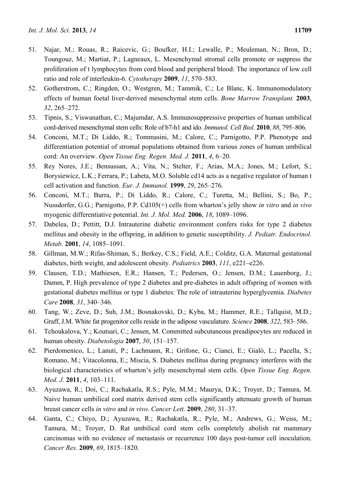- 51. Najar, M.; Rouas, R.; Raicevic, G.; Boufker, H.I.; Lewalle, P.; Meuleman, N.; Bron, D.; Toungouz, M.; Martiat, P.; Lagneaux, L. Mesenchymal stromal cells promote or suppress the proliferation of t lymphocytes from cord blood and peripheral blood: The importance of low cell ratio and role of interleukin-6. *Cytotherapy* **2009**, *11*, 570–583.
- 52. Gotherstrom, C.; Ringden, O.; Westgren, M.; Tammik, C.; Le Blanc, K. Immunomodulatory effects of human foetal liver-derived mesenchymal stem cells. *Bone Marrow Transplant.* **2003**, *32*, 265–272.
- 53. Tipnis, S.; Viswanathan, C.; Majumdar, A.S. Immunosuppressive properties of human umbilical cord-derived mesenchymal stem cells: Role of b7-h1 and ido. *Immunol. Cell Biol.* **2010**, *88*, 795–806.
- 54. Conconi, M.T.; Di Liddo, R.; Tommasini, M.; Calore, C.; Parnigotto, P.P. Phenotype and differentiation potential of stromal populations obtained from various zones of human umbilical cord: An overview. *Open Tissue Eng. Regen. Med. J.* **2011**, *4*, 6–20.
- 55. Rey Nores, J.E.; Bensussan, A.; Vita, N.; Stelter, F.; Arias, M.A.; Jones, M.; Lefort, S.; Borysiewicz, L.K.; Ferrara, P.; Labeta, M.O. Soluble cd14 acts as a negative regulator of human t cell activation and function. *Eur. J. Immunol.* **1999**, *29*, 265–276.
- 56. Conconi, M.T.; Burra, P.; Di Liddo, R.; Calore, C.; Turetta, M.; Bellini, S.; Bo, P.; Nussdorfer, G.G.; Parnigotto, P.P. Cd105(+) cells from wharton's jelly show *in vitro* and *in vivo* myogenic differentiative potential. *Int. J. Mol. Med.* **2006**, *18*, 1089–1096.
- 57. Dabelea, D.; Pettitt, D.J. Intrauterine diabetic environment confers risks for type 2 diabetes mellitus and obesity in the offspring, in addition to genetic susceptibility. *J. Pediatr. Endocrinol. Metab.* **2001**, *14*, 1085–1091.
- 58. Gillman, M.W.; Rifas-Shiman, S.; Berkey, C.S.; Field, A.E.; Colditz, G.A. Maternal gestational diabetes, birth weight, and adolescent obesity. *Pediatrics* **2003**, *111*, e221–e226.
- 59. Clausen, T.D.; Mathiesen, E.R.; Hansen, T.; Pedersen, O.; Jensen, D.M.; Lauenborg, J.; Damm, P. High prevalence of type 2 diabetes and pre-diabetes in adult offspring of women with gestational diabetes mellitus or type 1 diabetes: The role of intrauterine hyperglycemia. *Diabetes Care* **2008**, *31*, 340–346.
- 60. Tang, W.; Zeve, D.; Suh, J.M.; Bosnakovski, D.; Kyba, M.; Hammer, R.E.; Tallquist, M.D.; Graff, J.M. White fat progenitor cells reside in the adipose vasculature. *Science* **2008**, *322*, 583–586.
- 61. Tchoukalova, Y.; Koutsari, C.; Jensen, M. Committed subcutaneous preadipocytes are reduced in human obesity. *Diabetologia* **2007**, *50*, 151–157.
- 62. Pierdomenico, L.; Lanuti, P.; Lachmann, R.; Grifone, G.; Cianci, E.; Gialò, L.; Pacella, S.; Romano, M.; Vitacolonna, E.; Miscia, S. Diabetes mellitus during pregnancy interferes with the biological characteristics of wharton's jelly mesenchymal stem cells. *Open Tissue Eng. Regen. Med. J.* **2011**, *4*, 103–111.
- 63. Ayuzawa, R.; Doi, C.; Rachakatla, R.S.; Pyle, M.M.; Maurya, D.K.; Troyer, D.; Tamura, M. Naive human umbilical cord matrix derived stem cells significantly attenuate growth of human breast cancer cells *in vitro* and *in vivo*. *Cancer Lett.* **2009**, *280*, 31–37.
- 64. Ganta, C.; Chiyo, D.; Ayuzawa, R.; Rachakatla, R.; Pyle, M.; Andrews, G.; Weiss, M.; Tamura, M.; Troyer, D. Rat umbilical cord stem cells completely abolish rat mammary carcinomas with no evidence of metastasis or recurrence 100 days post-tumor cell inoculation. *Cancer Res.* **2009**, *69*, 1815–1820.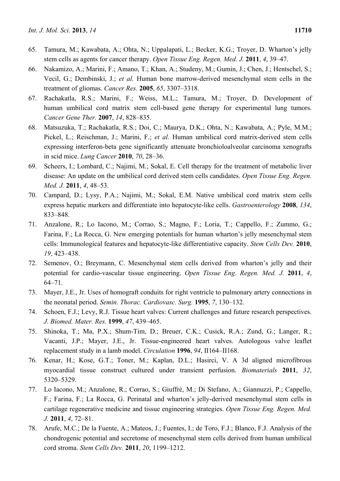- 65. Tamura, M.; Kawabata, A.; Ohta, N.; Uppalapati, L.; Becker, K.G.; Troyer, D. Wharton's jelly stem cells as agents for cancer therapy. *Open Tissue Eng. Regen. Med. J.* **2011**, *4*, 39–47.
- 66. Nakamizo, A.; Marini, F.; Amano, T.; Khan, A.; Studeny, M.; Gumin, J.; Chen, J.; Hentschel, S.; Vecil, G.; Dembinski, J.; *et al.* Human bone marrow-derived mesenchymal stem cells in the treatment of gliomas. *Cancer Res.* **2005**, *65*, 3307–3318.
- 67. Rachakatla, R.S.; Marini, F.; Weiss, M.L.; Tamura, M.; Troyer, D. Development of human umbilical cord matrix stem cell-based gene therapy for experimental lung tumors. *Cancer Gene Ther.* **2007**, *14*, 828–835.
- 68. Matsuzuka, T.; Rachakatla, R.S.; Doi, C.; Maurya, D.K.; Ohta, N.; Kawabata, A.; Pyle, M.M.; Pickel, L.; Reischman, J.; Marini, F.; *et al.* Human umbilical cord matrix-derived stem cells expressing interferon-beta gene significantly attenuate bronchioloalveolar carcinoma xenografts in scid mice. *Lung Cancer* **2010**, *70*, 28–36.
- 69. Scheers, I.; Lombard, C.; Najimi, M.; Sokal, E. Cell therapy for the treatment of metabolic liver disease: An update on the umbilical cord derived stem cells candidates. *Open Tissue Eng. Regen. Med. J.* **2011**, *4*, 48–53.
- 70. Campard, D.; Lysy, P.A.; Najimi, M.; Sokal, E.M. Native umbilical cord matrix stem cells express hepatic markers and differentiate into hepatocyte-like cells. *Gastroenterology* **2008**, *134*, 833–848.
- 71. Anzalone, R.; Lo Iacono, M.; Corrao, S.; Magno, F.; Loria, T.; Cappello, F.; Zummo, G.; Farina, F.; La Rocca, G. New emerging potentials for human wharton's jelly mesenchymal stem cells: Immunological features and hepatocyte-like differentiative capacity. *Stem Cells Dev.* **2010**, *19*, 423–438.
- 72. Semenov, O.; Breymann, C. Mesenchymal stem cells derived from wharton's jelly and their potential for cardio-vascular tissue engineering. *Open Tissue Eng. Regen. Med. J.* **2011**, *4*, 64–71.
- 73. Mayer, J.E., Jr. Uses of homograft conduits for right ventricle to pulmonary artery connections in the neonatal period. *Semin. Thorac. Cardiovasc. Surg.* **1995**, *7*, 130–132.
- 74. Schoen, F.J.; Levy, R.J. Tissue heart valves: Current challenges and future research perspectives. *J. Biomed. Mater. Res.* **1999**, *47*, 439–465.
- 75. Shinoka, T.; Ma, P.X.; Shum-Tim, D.; Breuer, C.K.; Cusick, R.A.; Zund, G.; Langer, R.; Vacanti, J.P.; Mayer, J.E., Jr. Tissue-engineered heart valves. Autologous valve leaflet replacement study in a lamb model. *Circulation* **1996**, *94*, II164–II168.
- 76. Kenar, H.; Kose, G.T.; Toner, M.; Kaplan, D.L.; Hasirci, V. A 3d aligned microfibrous myocardial tissue construct cultured under transient perfusion. *Biomaterials* **2011**, *32*, 5320–5329.
- 77. Lo Iacono, M.; Anzalone, R.; Corrao, S.; Giuffrè, M.; Di Stefano, A.; Giannuzzi, P.; Cappello, F.; Farina, F.; La Rocca, G. Perinatal and wharton's jelly-derived mesenchymal stem cells in cartilage regenerative medicine and tissue engineering strategies. *Open Tissue Eng. Regen. Med. J.* **2011**, *4*, 72–81.
- 78. Arufe, M.C.; De la Fuente, A.; Mateos, J.; Fuentes, I.; de Toro, F.J.; Blanco, F.J. Analysis of the chondrogenic potential and secretome of mesenchymal stem cells derived from human umbilical cord stroma. *Stem Cells Dev.* **2011**, *20*, 1199–1212.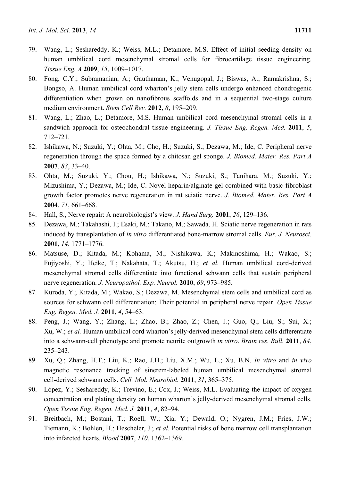- 79. Wang, L.; Seshareddy, K.; Weiss, M.L.; Detamore, M.S. Effect of initial seeding density on human umbilical cord mesenchymal stromal cells for fibrocartilage tissue engineering. *Tissue Eng. A* **2009**, *15*, 1009–1017.
- 80. Fong, C.Y.; Subramanian, A.; Gauthaman, K.; Venugopal, J.; Biswas, A.; Ramakrishna, S.; Bongso, A. Human umbilical cord wharton's jelly stem cells undergo enhanced chondrogenic differentiation when grown on nanofibrous scaffolds and in a sequential two-stage culture medium environment. *Stem Cell Rev.* **2012**, *8*, 195–209.
- 81. Wang, L.; Zhao, L.; Detamore, M.S. Human umbilical cord mesenchymal stromal cells in a sandwich approach for osteochondral tissue engineering. *J. Tissue Eng. Regen. Med.* **2011**, *5*, 712–721.
- 82. Ishikawa, N.; Suzuki, Y.; Ohta, M.; Cho, H.; Suzuki, S.; Dezawa, M.; Ide, C. Peripheral nerve regeneration through the space formed by a chitosan gel sponge. *J. Biomed. Mater. Res. Part A*  **2007**, *83*, 33–40.
- 83. Ohta, M.; Suzuki, Y.; Chou, H.; Ishikawa, N.; Suzuki, S.; Tanihara, M.; Suzuki, Y.; Mizushima, Y.; Dezawa, M.; Ide, C. Novel heparin/alginate gel combined with basic fibroblast growth factor promotes nerve regeneration in rat sciatic nerve. *J. Biomed. Mater. Res. Part A*  **2004**, *71*, 661–668.
- 84. Hall, S., Nerve repair: A neurobiologist's view. *J. Hand Surg.* **2001**, *26*, 129–136.
- 85. Dezawa, M.; Takahashi, I.; Esaki, M.; Takano, M.; Sawada, H. Sciatic nerve regeneration in rats induced by transplantation of *in vitro* differentiated bone-marrow stromal cells. *Eur. J. Neurosci.*  **2001**, *14*, 1771–1776.
- 86. Matsuse, D.; Kitada, M.; Kohama, M.; Nishikawa, K.; Makinoshima, H.; Wakao, S.; Fujiyoshi, Y.; Heike, T.; Nakahata, T.; Akutsu, H.; *et al.* Human umbilical cord-derived mesenchymal stromal cells differentiate into functional schwann cells that sustain peripheral nerve regeneration. *J. Neuropathol. Exp. Neurol.* **2010**, *69*, 973–985.
- 87. Kuroda, Y.; Kitada, M.; Wakao, S.; Dezawa, M. Mesenchymal stem cells and umbilical cord as sources for schwann cell differentiation: Their potential in peripheral nerve repair. *Open Tissue Eng. Regen. Med. J.* **2011**, *4*, 54–63.
- 88. Peng, J.; Wang, Y.; Zhang, L.; Zhao, B.; Zhao, Z.; Chen, J.; Guo, Q.; Liu, S.; Sui, X.; Xu, W.; *et al.* Human umbilical cord wharton's jelly-derived mesenchymal stem cells differentiate into a schwann-cell phenotype and promote neurite outgrowth *in vitro*. *Brain res. Bull.* **2011**, *84*, 235–243.
- 89. Xu, Q.; Zhang, H.T.; Liu, K.; Rao, J.H.; Liu, X.M.; Wu, L.; Xu, B.N. *In vitro* and *in vivo* magnetic resonance tracking of sinerem-labeled human umbilical mesenchymal stromal cell-derived schwann cells. *Cell. Mol. Neurobiol.* **2011**, *31*, 365–375.
- 90. López, Y.; Seshareddy, K.; Trevino, E.; Cox, J.; Weiss, M.L. Evaluating the impact of oxygen concentration and plating density on human wharton's jelly-derived mesenchymal stromal cells. *Open Tissue Eng. Regen. Med. J.* **2011**, *4*, 82–94.
- 91. Breitbach, M.; Bostani, T.; Roell, W.; Xia, Y.; Dewald, O.; Nygren, J.M.; Fries, J.W.; Tiemann, K.; Bohlen, H.; Hescheler, J.; *et al.* Potential risks of bone marrow cell transplantation into infarcted hearts. *Blood* **2007**, *110*, 1362–1369.